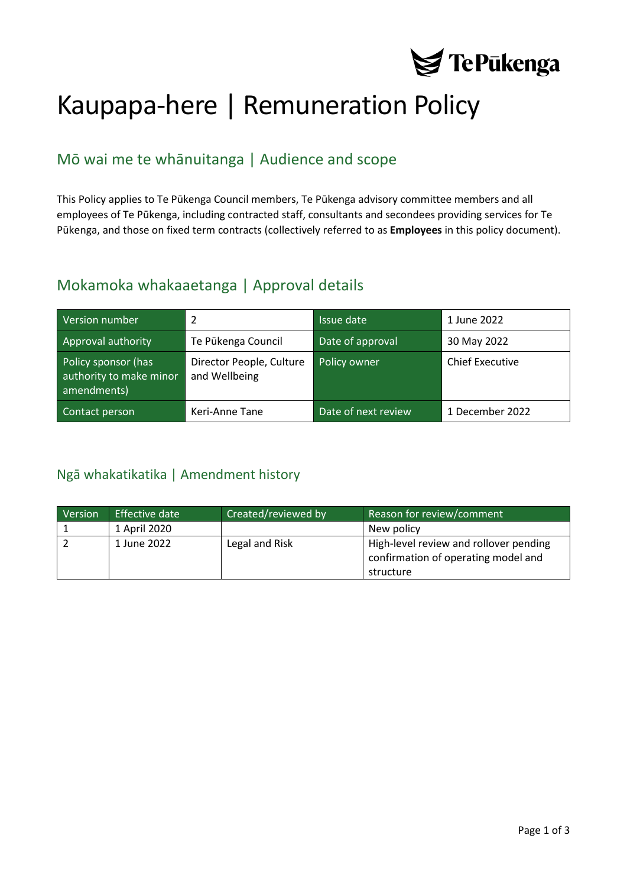

# Kaupapa-here | Remuneration Policy

# Mō wai me te whānuitanga | Audience and scope

This Policy applies to Te Pūkenga Council members, Te Pūkenga advisory committee members and all employees of Te Pūkenga, including contracted staff, consultants and secondees providing services for Te Pūkenga, and those on fixed term contracts (collectively referred to as **Employees** in this policy document).

### Mokamoka whakaaetanga | Approval details

| Version number                                                | $\mathcal{P}$                             | Issue date          | 1 June 2022            |
|---------------------------------------------------------------|-------------------------------------------|---------------------|------------------------|
| Approval authority                                            | Te Pūkenga Council                        | Date of approval    | 30 May 2022            |
| Policy sponsor (has<br>authority to make minor<br>amendments) | Director People, Culture<br>and Wellbeing | Policy owner        | <b>Chief Executive</b> |
| Contact person                                                | Keri-Anne Tane                            | Date of next review | 1 December 2022        |

### <span id="page-0-0"></span>Ngā whakatikatika | Amendment history

| Version | Effective date | Created/reviewed by | Reason for review/comment                                                     |
|---------|----------------|---------------------|-------------------------------------------------------------------------------|
|         | 1 April 2020   |                     | New policy                                                                    |
|         | 1 June 2022    | Legal and Risk      | High-level review and rollover pending<br>confirmation of operating model and |
|         |                |                     | structure                                                                     |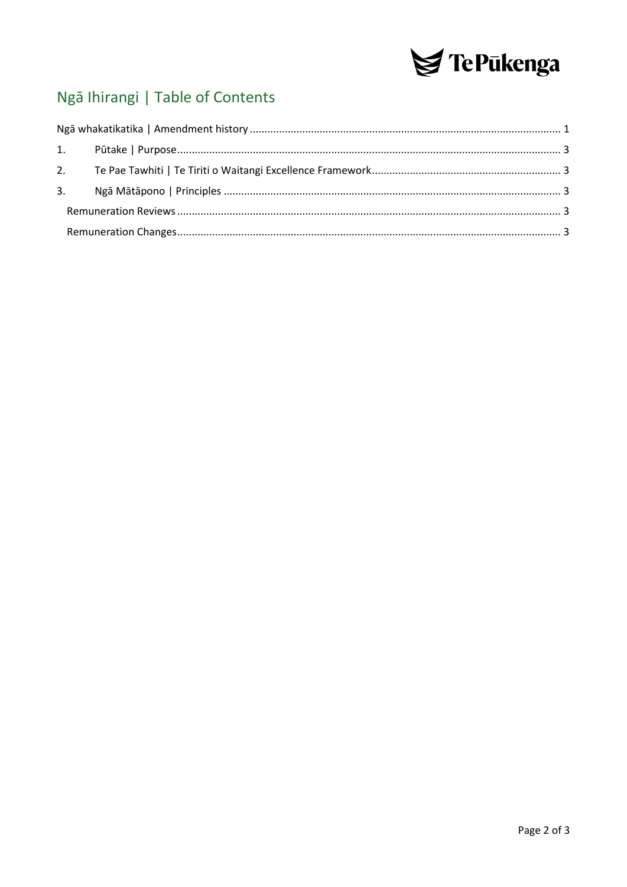

# Ngā Ihirangi | Table of Contents